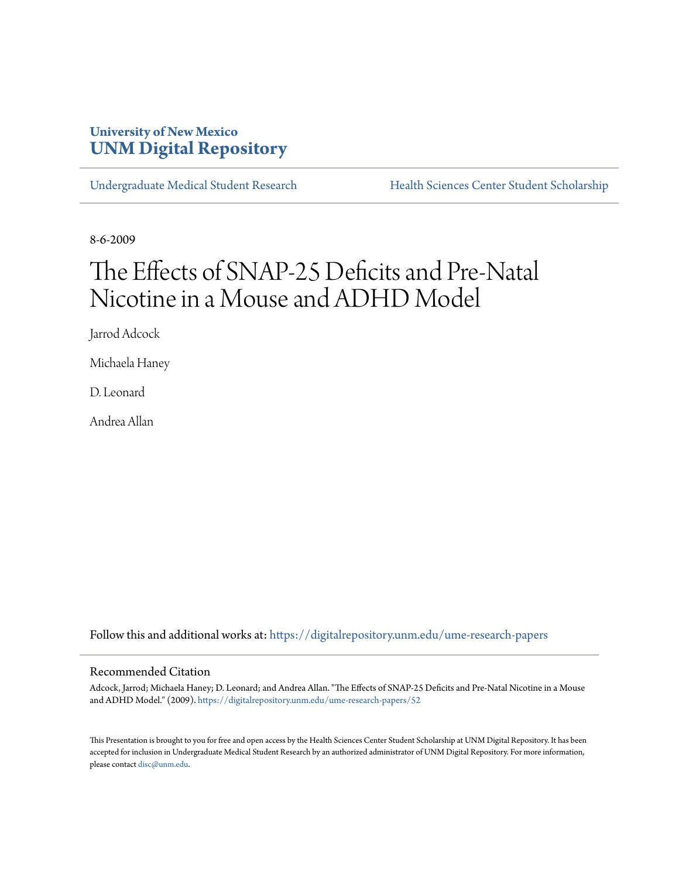## **University of New Mexico [UNM Digital Repository](https://digitalrepository.unm.edu?utm_source=digitalrepository.unm.edu%2Fume-research-papers%2F52&utm_medium=PDF&utm_campaign=PDFCoverPages)**

[Undergraduate Medical Student Research](https://digitalrepository.unm.edu/ume-research-papers?utm_source=digitalrepository.unm.edu%2Fume-research-papers%2F52&utm_medium=PDF&utm_campaign=PDFCoverPages) [Health Sciences Center Student Scholarship](https://digitalrepository.unm.edu/hsc-students?utm_source=digitalrepository.unm.edu%2Fume-research-papers%2F52&utm_medium=PDF&utm_campaign=PDFCoverPages)

8-6-2009

# The Effects of SNAP-25 Deficits and Pre-Natal Nicotine in a Mouse and ADHD Model

Jarrod Adcock

Michaela Haney

D. Leonard

Andrea Allan

Follow this and additional works at: [https://digitalrepository.unm.edu/ume-research-papers](https://digitalrepository.unm.edu/ume-research-papers?utm_source=digitalrepository.unm.edu%2Fume-research-papers%2F52&utm_medium=PDF&utm_campaign=PDFCoverPages)

#### Recommended Citation

Adcock, Jarrod; Michaela Haney; D. Leonard; and Andrea Allan. "The Effects of SNAP-25 Deficits and Pre-Natal Nicotine in a Mouse and ADHD Model." (2009). [https://digitalrepository.unm.edu/ume-research-papers/52](https://digitalrepository.unm.edu/ume-research-papers/52?utm_source=digitalrepository.unm.edu%2Fume-research-papers%2F52&utm_medium=PDF&utm_campaign=PDFCoverPages)

This Presentation is brought to you for free and open access by the Health Sciences Center Student Scholarship at UNM Digital Repository. It has been accepted for inclusion in Undergraduate Medical Student Research by an authorized administrator of UNM Digital Repository. For more information, please contact [disc@unm.edu.](mailto:disc@unm.edu)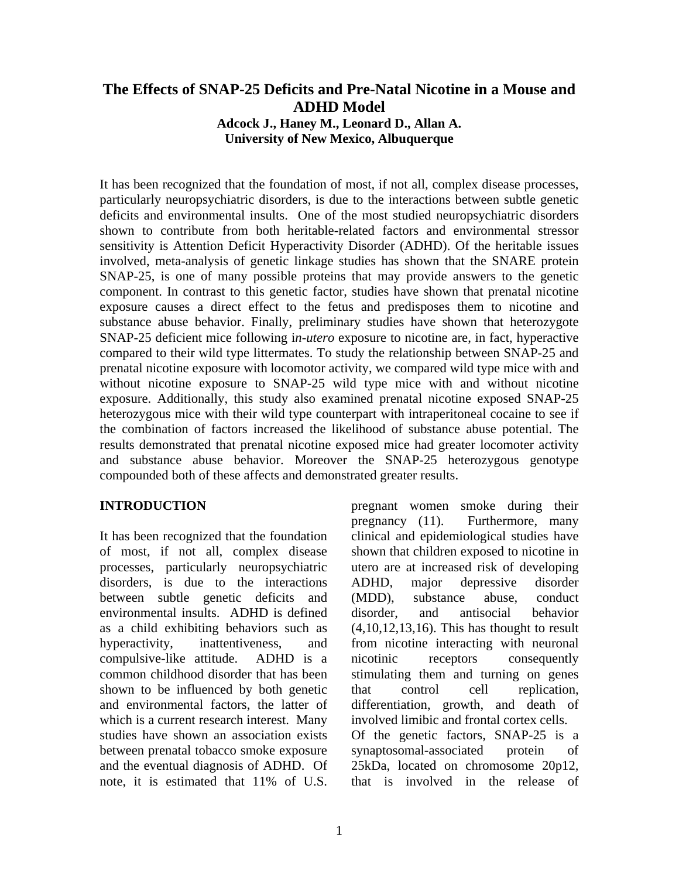# **The Effects of SNAP-25 Deficits and Pre-Natal Nicotine in a Mouse and ADHD Model**

**Adcock J., Haney M., Leonard D., Allan A. University of New Mexico, Albuquerque** 

It has been recognized that the foundation of most, if not all, complex disease processes, particularly neuropsychiatric disorders, is due to the interactions between subtle genetic deficits and environmental insults. One of the most studied neuropsychiatric disorders shown to contribute from both heritable-related factors and environmental stressor sensitivity is Attention Deficit Hyperactivity Disorder (ADHD). Of the heritable issues involved, meta-analysis of genetic linkage studies has shown that the SNARE protein SNAP-25, is one of many possible proteins that may provide answers to the genetic component. In contrast to this genetic factor, studies have shown that prenatal nicotine exposure causes a direct effect to the fetus and predisposes them to nicotine and substance abuse behavior. Finally, preliminary studies have shown that heterozygote SNAP-25 deficient mice following i*n-utero* exposure to nicotine are, in fact, hyperactive compared to their wild type littermates. To study the relationship between SNAP-25 and prenatal nicotine exposure with locomotor activity, we compared wild type mice with and without nicotine exposure to SNAP-25 wild type mice with and without nicotine exposure. Additionally, this study also examined prenatal nicotine exposed SNAP-25 heterozygous mice with their wild type counterpart with intraperitoneal cocaine to see if the combination of factors increased the likelihood of substance abuse potential. The results demonstrated that prenatal nicotine exposed mice had greater locomoter activity and substance abuse behavior. Moreover the SNAP-25 heterozygous genotype compounded both of these affects and demonstrated greater results.

#### **INTRODUCTION**

It has been recognized that the foundation of most, if not all, complex disease processes, particularly neuropsychiatric disorders, is due to the interactions between subtle genetic deficits and environmental insults. ADHD is defined as a child exhibiting behaviors such as hyperactivity, inattentiveness, and compulsive-like attitude.ADHD is a common childhood disorder that has been shown to be influenced by both genetic and environmental factors, the latter of which is a current research interest. Many studies have shown an association exists between prenatal tobacco smoke exposure and the eventual diagnosis of ADHD. Of note, it is estimated that 11% of U.S. pregnant women smoke during their pregnancy (11). Furthermore, many clinical and epidemiological studies have shown that children exposed to nicotine in utero are at increased risk of developing ADHD, major depressive disorder (MDD), substance abuse, conduct disorder, and antisocial behavior (4,10,12,13,16). This has thought to result from nicotine interacting with neuronal nicotinic receptors consequently stimulating them and turning on genes that control cell replication, differentiation, growth, and death of involved limibic and frontal cortex cells. Of the genetic factors, SNAP-25 is a synaptosomal-associated protein of 25kDa, located on chromosome 20p12, that is involved in the release of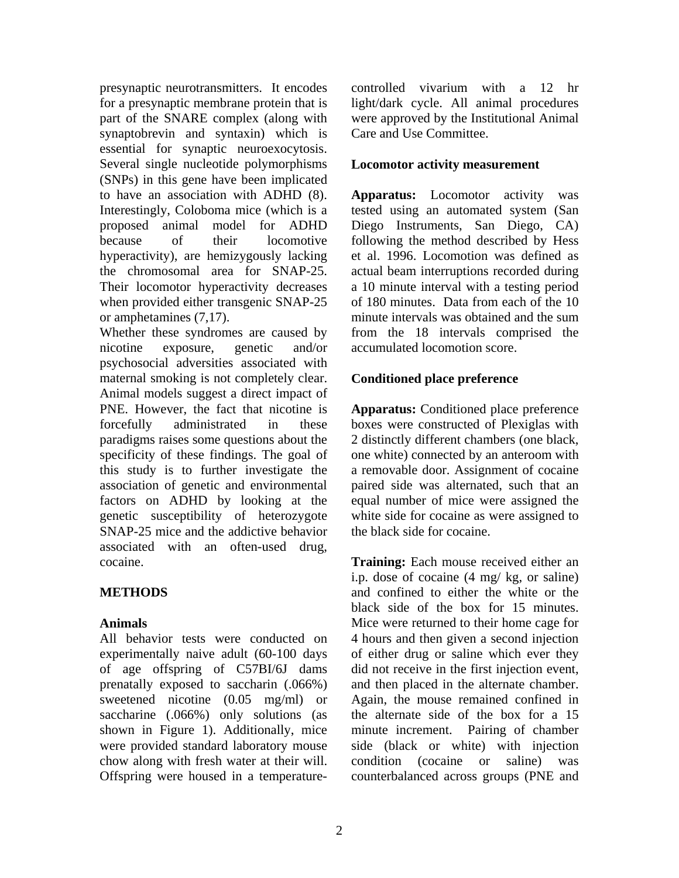presynaptic neurotransmitters. It encodes for a presynaptic membrane protein that is part of the SNARE complex (along with synaptobrevin and syntaxin) which is essential for synaptic neuroexocytosis. Several single nucleotide polymorphisms (SNPs) in this gene have been implicated to have an association with ADHD (8). Interestingly, Coloboma mice (which is a proposed animal model for ADHD because of their locomotive hyperactivity), are hemizygously lacking the chromosomal area for SNAP-25. Their locomotor hyperactivity decreases when provided either transgenic SNAP-25 or amphetamines (7,17).

Whether these syndromes are caused by nicotine exposure, genetic and/or psychosocial adversities associated with maternal smoking is not completely clear. Animal models suggest a direct impact of PNE. However, the fact that nicotine is forcefully administrated in these paradigms raises some questions about the specificity of these findings. The goal of this study is to further investigate the association of genetic and environmental factors on ADHD by looking at the genetic susceptibility of heterozygote SNAP-25 mice and the addictive behavior associated with an often-used drug, cocaine.

## **METHODS**

### **Animals**

All behavior tests were conducted on experimentally naive adult (60-100 days of age offspring of C57BI/6J dams prenatally exposed to saccharin (.066%) sweetened nicotine (0.05 mg/ml) or saccharine (.066%) only solutions (as shown in Figure 1). Additionally, mice were provided standard laboratory mouse chow along with fresh water at their will. Offspring were housed in a temperaturecontrolled vivarium with a 12 hr light/dark cycle. All animal procedures were approved by the Institutional Animal Care and Use Committee.

#### **Locomotor activity measurement**

**Apparatus:** Locomotor activity was tested using an automated system (San Diego Instruments, San Diego, CA) following the method described by Hess et al. 1996. Locomotion was defined as actual beam interruptions recorded during a 10 minute interval with a testing period of 180 minutes. Data from each of the 10 minute intervals was obtained and the sum from the 18 intervals comprised the accumulated locomotion score.

#### **Conditioned place preference**

**Apparatus:** Conditioned place preference boxes were constructed of Plexiglas with 2 distinctly different chambers (one black, one white) connected by an anteroom with a removable door. Assignment of cocaine paired side was alternated, such that an equal number of mice were assigned the white side for cocaine as were assigned to the black side for cocaine.

**Training:** Each mouse received either an i.p. dose of cocaine (4 mg/ kg, or saline) and confined to either the white or the black side of the box for 15 minutes. Mice were returned to their home cage for 4 hours and then given a second injection of either drug or saline which ever they did not receive in the first injection event, and then placed in the alternate chamber. Again, the mouse remained confined in the alternate side of the box for a 15 minute increment. Pairing of chamber side (black or white) with injection condition (cocaine or saline) was counterbalanced across groups (PNE and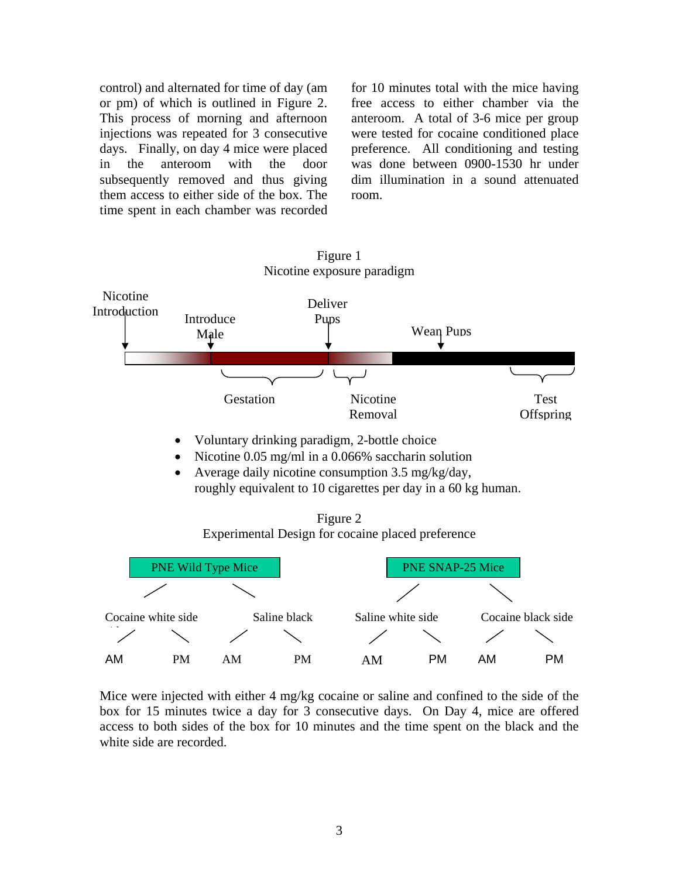control) and alternated for time of day (am or pm) of which is outlined in Figure 2. This process of morning and afternoon injections was repeated for 3 consecutive days. Finally, on day 4 mice were placed in the anteroom with the door subsequently removed and thus giving them access to either side of the box. The time spent in each chamber was recorded for 10 minutes total with the mice having free access to either chamber via the anteroom. A total of 3-6 mice per group were tested for cocaine conditioned place preference. All conditioning and testing was done between 0900-1530 hr under dim illumination in a sound attenuated room.



Mice were injected with either 4 mg/kg cocaine or saline and confined to the side of the box for 15 minutes twice a day for 3 consecutive days. On Day 4, mice are offered access to both sides of the box for 10 minutes and the time spent on the black and the white side are recorded.

Figure 1 Nicotine exposure paradigm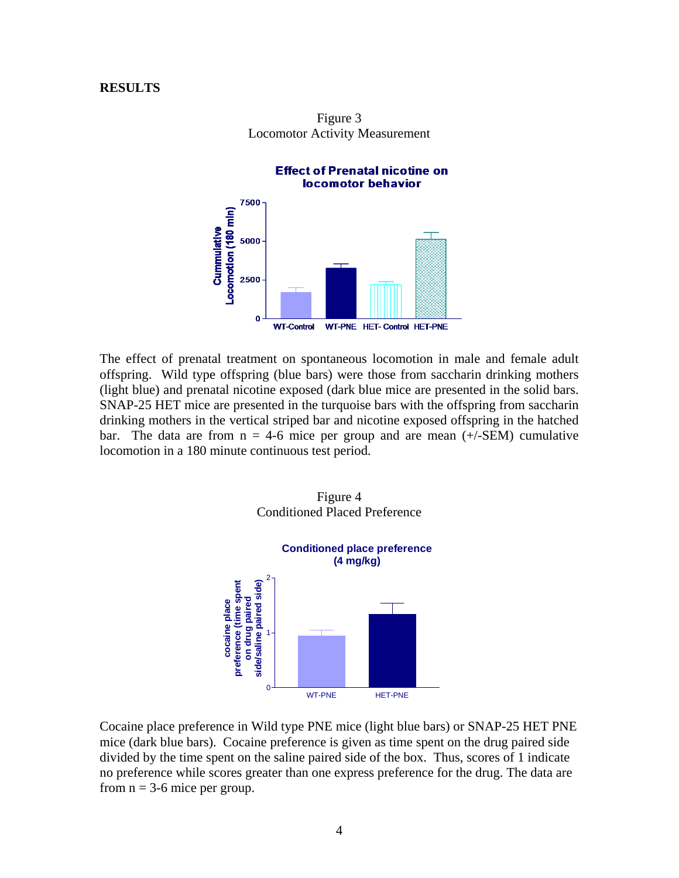#### **RESULTS**



Figure 3 Locomotor Activity Measurement

The effect of prenatal treatment on spontaneous locomotion in male and female adult offspring. Wild type offspring (blue bars) were those from saccharin drinking mothers (light blue) and prenatal nicotine exposed (dark blue mice are presented in the solid bars. SNAP-25 HET mice are presented in the turquoise bars with the offspring from saccharin drinking mothers in the vertical striped bar and nicotine exposed offspring in the hatched bar. The data are from  $n = 4-6$  mice per group and are mean  $(+/-SEM)$  cumulative locomotion in a 180 minute continuous test period.



Cocaine place preference in Wild type PNE mice (light blue bars) or SNAP-25 HET PNE mice (dark blue bars). Cocaine preference is given as time spent on the drug paired side divided by the time spent on the saline paired side of the box. Thus, scores of 1 indicate no preference while scores greater than one express preference for the drug. The data are from  $n = 3-6$  mice per group.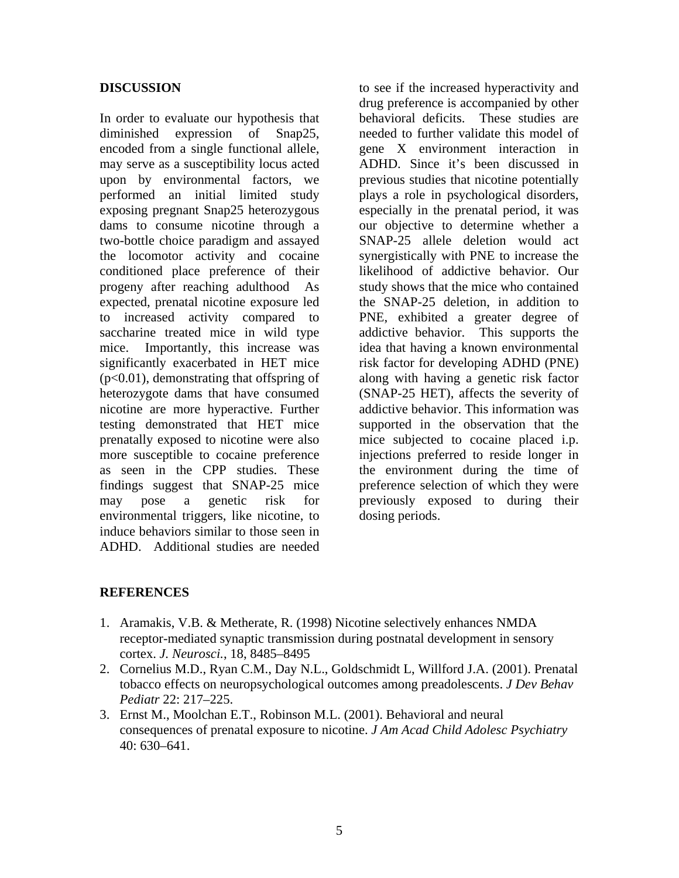#### **DISCUSSION**

In order to evaluate our hypothesis that diminished expression of Snap25, encoded from a single functional allele, may serve as a susceptibility locus acted upon by environmental factors, we performed an initial limited study exposing pregnant Snap25 heterozygous dams to consume nicotine through a two-bottle choice paradigm and assayed the locomotor activity and cocaine conditioned place preference of their progeny after reaching adulthood As expected, prenatal nicotine exposure led to increased activity compared to saccharine treated mice in wild type mice. Importantly, this increase was significantly exacerbated in HET mice (p<0.01), demonstrating that offspring of heterozygote dams that have consumed nicotine are more hyperactive. Further testing demonstrated that HET mice prenatally exposed to nicotine were also more susceptible to cocaine preference as seen in the CPP studies. These findings suggest that SNAP-25 mice may pose a genetic risk for environmental triggers, like nicotine, to induce behaviors similar to those seen in ADHD. Additional studies are needed

to see if the increased hyperactivity and drug preference is accompanied by other behavioral deficits. These studies are needed to further validate this model of gene X environment interaction in ADHD. Since it's been discussed in previous studies that nicotine potentially plays a role in psychological disorders, especially in the prenatal period, it was our objective to determine whether a SNAP-25 allele deletion would act synergistically with PNE to increase the likelihood of addictive behavior. Our study shows that the mice who contained the SNAP-25 deletion, in addition to PNE, exhibited a greater degree of addictive behavior. This supports the idea that having a known environmental risk factor for developing ADHD (PNE) along with having a genetic risk factor (SNAP-25 HET), affects the severity of addictive behavior. This information was supported in the observation that the mice subjected to cocaine placed i.p. injections preferred to reside longer in the environment during the time of preference selection of which they were previously exposed to during their dosing periods.

### **REFERENCES**

- 1. Aramakis, V.B. & Metherate, R. (1998) Nicotine selectively enhances NMDA receptor-mediated synaptic transmission during postnatal development in sensory cortex. *J. Neurosci.*, 18, 8485–8495
- 2. Cornelius M.D., Ryan C.M., Day N.L., Goldschmidt L, Willford J.A. (2001). Prenatal tobacco effects on neuropsychological outcomes among preadolescents. *J Dev Behav Pediatr* 22: 217–225.
- 3. Ernst M., Moolchan E.T., Robinson M.L. (2001). Behavioral and neural consequences of prenatal exposure to nicotine. *J Am Acad Child Adolesc Psychiatry*  40: 630–641.